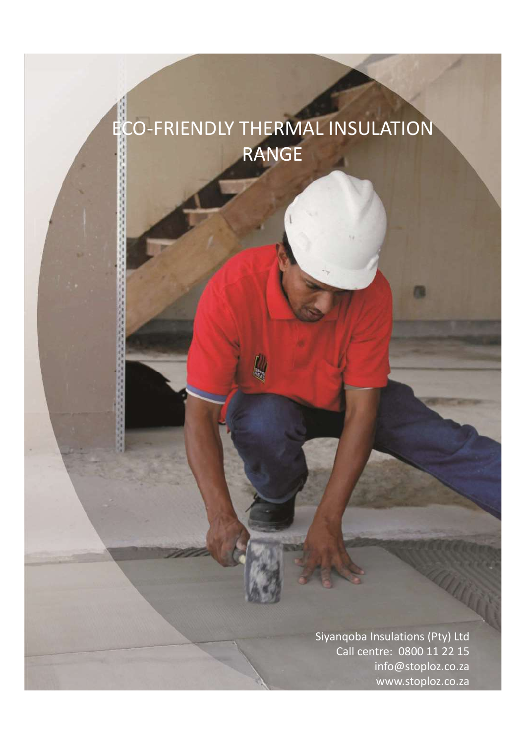# ECO-FRIENDLY THERMAL INSULATION RANGE

Siyanqoba Insulations (Pty) Ltd<br>Call centre: 0800 11 22 15<br>info@stoploz.co.za<br>www.stoploz.co.za Call centre: 0800 11 22 15 info@stoploz.co.za www.stoploz.co.za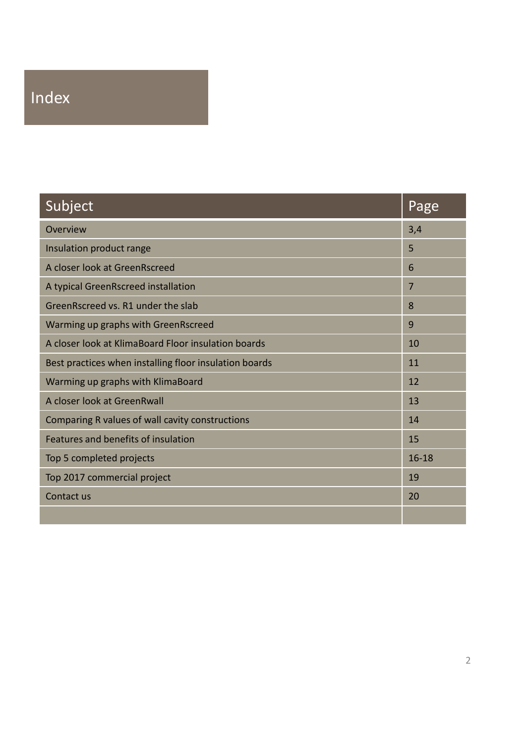# Index

| Subject                                                | Page             |
|--------------------------------------------------------|------------------|
| Overview                                               | 3,4              |
| Insulation product range                               | 5                |
| A closer look at GreenRscreed                          | $\boldsymbol{6}$ |
| A typical GreenRscreed installation                    | $\overline{7}$   |
| GreenRscreed vs. R1 under the slab                     | 8                |
| Warming up graphs with GreenRscreed                    | 9                |
| A closer look at KlimaBoard Floor insulation boards    | 10               |
| Best practices when installing floor insulation boards | $11\,$           |
| Warming up graphs with KlimaBoard                      | 12               |
| A closer look at GreenRwall                            | 13               |
| Comparing R values of wall cavity constructions        | 14               |
| Features and benefits of insulation                    | 15               |
| Top 5 completed projects                               | $16 - 18$        |
| Top 2017 commercial project                            | 19               |
|                                                        |                  |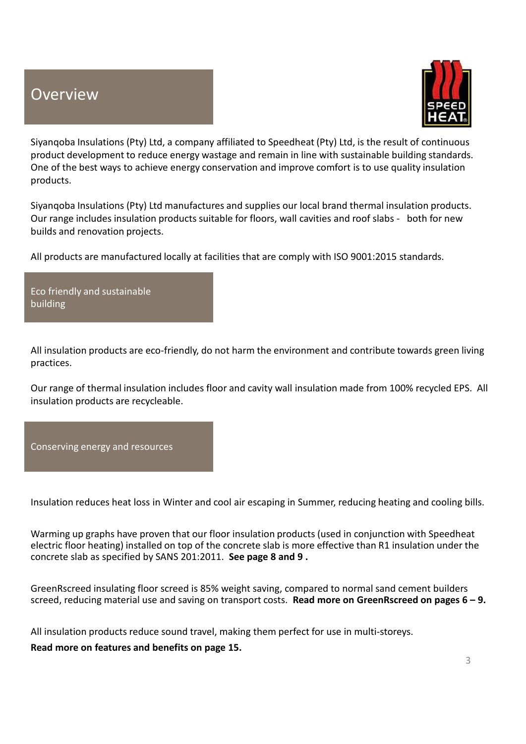## **Overview**



**Siyanqoba Insulations (Pty) Ltd, a company affiliated to Speedheat (Pty) Ltd, is the result of continuous<br>Siyanqoba Insulations (Pty) Ltd, a company affiliated to Speedheat (Pty) Ltd, is the result of continuous<br>Depoducts** product development to reduce energy wastage and remain in line with sustainable building standards. One of the best ways to achieve energy conservation and improve comfort is to use quality insulation products. **Siyanqoba Insulations (Pty) Ltd, a company affiliated to Speedheat (Pty) Ltd, is the result of continuous product development to reduce energy wastage and remain in line with sutsinable building standards.<br>One of the best COURT COURT COURT COURT COURTS IN A SURFACE SUPPOSE AND SEVERT SUPPOSE SUPPOSE AND SEVERT SUPPOSE SUPPOSE THE FOR FLOORS FOR FLOORS FOR FLOORS FOR FLOORS FOR FLOORS FOR FLOORS FOR FLOORS, SUITE THE FOR FLOORS, WAS CONSIDE** 

builds and renovation projects.

All products are manufactured locally at facilities that are comply with ISO 9001:2015 standards.

Eco friendly and sustainable building

All insulation products are eco-friendly, do not harm the environment and contribute towards green living practices.

Our range of thermal insulation includes floor and cavity wall insulation made from 100% recycled EPS. All insulation products are recycleable.



Eco friendly and sustainable<br>
All insulation products are eco-friendly, do not harm the environment and contribute towards green living<br>
practices.<br>
Our range of thermal insulation includes floor and cavity wall insulation Warming up graphs have proven that our floor insulation products (used in conjunction with Speedheat electric floor heating) installed on top of the concrete slab is more effective than R1 insulation under the concrete slab as specified by SANS 201:2011. See page 8 and 9 . Frame of thermal insulation includes floor and cavity wall insulation made from 100% recycled EPS. All<br>insulation products are recycleable.<br>Conserving energy and resources<br>Marming up graphs have proven that our floor insul Our range of thermal insulation includes floor and cavity wall insulation made from 100% recycled EPS. All<br>insulation products are recycleable.<br>Conserving energy and resources<br>Massulation reduces heat loss in Winter and co

All insulation products reduce sound travel, making them perfect for use in multi-storeys.

Read more on features and benefits on page 15.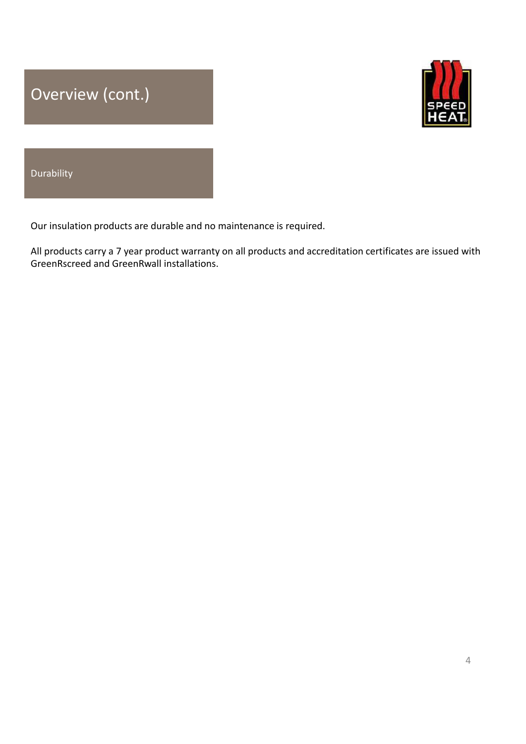



# Durability

Overview (cont.)<br>
SPEED<br>
Durability<br>
Our insulation products are durable and no maintenance is required.<br>
All products carry a 7 year product warranty on all products and accreditation certificates are issued with<br>
GreenRs **EXECUTE:**<br>All products carry a 7 year product warranty on all products and accreditation certificates are issued with<br>GreenRscreed and GreenRwall installations. **COVETVIEW (CONT.)**<br>
SPECTREMAN INTERTATION CONTINUITY<br>
Our insulation products are durable and no maintenance is required.<br>
All products carry a 7 year product warranty on all products and accreditation certificates are i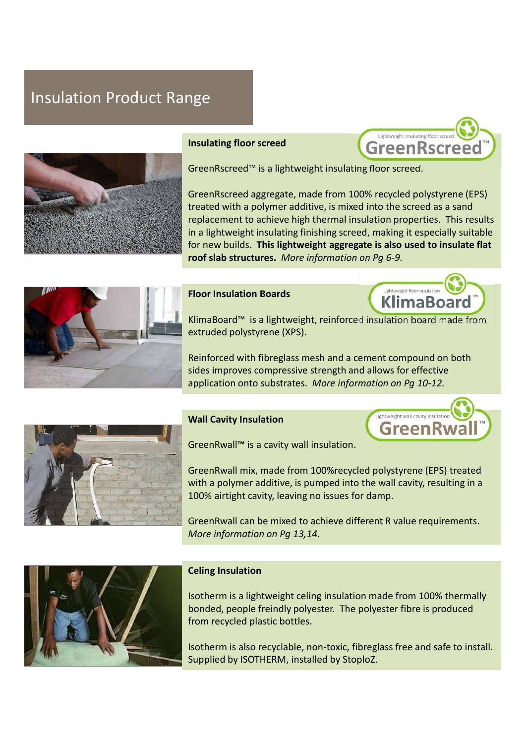## Insulation Product Range





GreenRscreed™ is a lightweight insulating floor screed.

Insulating floor screed<br>
GreenRscreed<sup>the is</sup> a lightweight insulating floor screed.<br>
GreenRscreed aggregate, made from 100% recycled polystyrene (EPS)<br>
treated with a polymer additive, is mixed into the screed as a sand<br> treated with a polymer additive, is mixed into the screed as a sand replacement to achieve high thermal insulation properties. This results in a lightweight insulating finishing screed, making it especially suitable for new builds. This lightweight aggregate is also used to insulate flat roof slab structures. More information on Pg 6-9.





KlimaBoard™ is a lightweight, reinforced insulation board made from extruded polystyrene (XPS).

Reinforced with fibreglass mesh and a cement compound on both sides improves compressive strength and allows for effective application onto substrates. More information on Pg 10-12.





GreenRwall™ is a cavity wall insulation.

roof slab structures. More information on Pg 6-9.<br>
Floor Insulation Boards<br>
KlimaBoard<sup>na</sup> is a lightweight, reinforced insulation board made from<br>
extruded polystyrene (XPS).<br>
Reinforced with fibreglass mesh and a cement with a polymer additive, is pumped into the wall cavity, resulting in a 100% airtight cavity, leaving no issues for damp. KlimaBoard<sup>na</sup> is a lightweight, reinforced insulation board made from<br>extruded polystyrene (XPS).<br>Reinforced with fibreglass mesh and a cement compound on both<br>sides improves compressive strength and allows for effective<br> Reinforced with fibreglass mesh and a cement compound on both<br>sides improves compressive strength and allows for effective<br>application onto substrates. More information on Pg 10-12.<br>Wall Cavity Insulation<br>GreenRwall mix, m application onto substrates. *More information on Pg 10-12.*<br> **Vall Cavity Insulation**<br>
GreenRwall mix, made from 100% recycled polystyrene (EPS) treated<br>
with a polymer additive, is pumped into the wall cavity, resulting **CONTRIGHT WANTARY SET AND AND AND ADMOVED CONTRIGHT CONTRIGHT CONTRIGHT CONTRIGHT CONTRIGHT CONTRIGHT CONTRIGHT CONTRIGHT CONTRIGHT CONTRIGHT CONTRIGHT CONTRIGHT CONTRIGHT CONTRIGHT CONTRIGHT CONTRIGHT CONTRIGHT CONTRIGHT** 

More information on Pg 13,14.



from recycled plastic bottles.

Isotherm is also recyclable, non-toxic, fibreglass free and safe to install. Supplied by ISOTHERM, installed by StoploZ.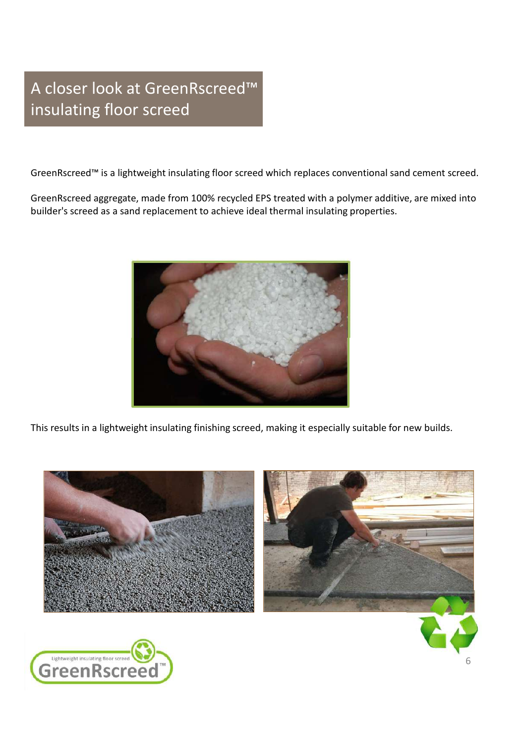## A closer look at GreenRscreed™ insulating floor screed

GreenRscreed™ is a lightweight insulating floor screed which replaces conventional sand cement screed.

A closer look at GreenRscreed™<br>
insulating floor screed<br>
GreenRscreed™ is a lightweight insulating floor screed which replaces conventional sand cement screed.<br>
GreenRscreed aggregate, made from 100% recycled EPS treated builder's screed as a sand replacement to achieve ideal thermal insulating properties.



This results in a lightweight insulating finishing screed, making it especially suitable for new builds.

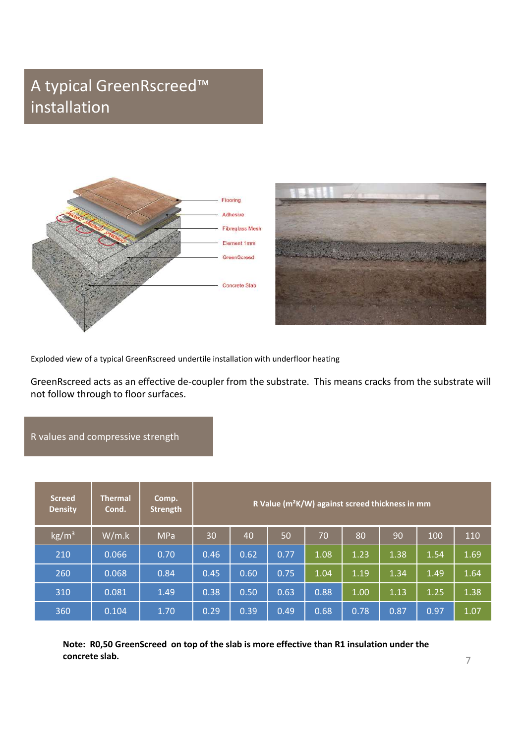## A typical GreenRscreed™ installation





## R values and compressive strength

|                                                                                                                                                     |                         |                                                                                           |      |      |      |                                                             |          |      | $\sim 10$ |      |
|-----------------------------------------------------------------------------------------------------------------------------------------------------|-------------------------|-------------------------------------------------------------------------------------------|------|------|------|-------------------------------------------------------------|----------|------|-----------|------|
| Exploded view of a typical GreenRscreed undertile installation with underfloor heating                                                              |                         |                                                                                           |      |      |      |                                                             |          |      |           |      |
| GreenRscreed acts as an effective de-coupler from the substrate. This means cracks from the substrate will<br>not follow through to floor surfaces. |                         |                                                                                           |      |      |      |                                                             |          |      |           |      |
| R values and compressive strength                                                                                                                   |                         |                                                                                           |      |      |      |                                                             |          |      |           |      |
|                                                                                                                                                     |                         |                                                                                           |      |      |      |                                                             |          |      |           |      |
| <b>Screed</b><br><b>Density</b>                                                                                                                     | <b>Thermal</b><br>Cond. | Comp.<br><b>Strength</b>                                                                  |      |      |      | R Value (m <sup>2</sup> K/W) against screed thickness in mm |          |      |           |      |
| $\text{kg/m}^3$                                                                                                                                     | W/m.k                   | <b>MPa</b>                                                                                | 30   | 40   | 50   | 70                                                          | 80       | 90   | 100       | 110  |
| 210                                                                                                                                                 | 0.066                   | 0.70                                                                                      | 0.46 | 0.62 | 0.77 | 1.08                                                        | 1.23     | 1.38 | 1.54      | 1.69 |
| 260                                                                                                                                                 | 0.068                   | 0.84                                                                                      | 0.45 | 0.60 | 0.75 | 1.04                                                        | 1.19     | 1.34 | 1.49      | 1.64 |
| 310                                                                                                                                                 | 0.081                   | 1.49                                                                                      | 0.38 | 0.50 | 0.63 | 0.88                                                        | $1.00\,$ | 1.13 | 1.25      | 1.38 |
| 360                                                                                                                                                 | 0.104                   | 1.70                                                                                      | 0.29 | 0.39 | 0.49 | 0.68                                                        | 0.78     | 0.87 | 0.97      | 1.07 |
|                                                                                                                                                     | concrete slab.          | Note: R0,50 GreenScreed on top of the slab is more effective than R1 insulation under the |      |      |      |                                                             |          |      |           | 7    |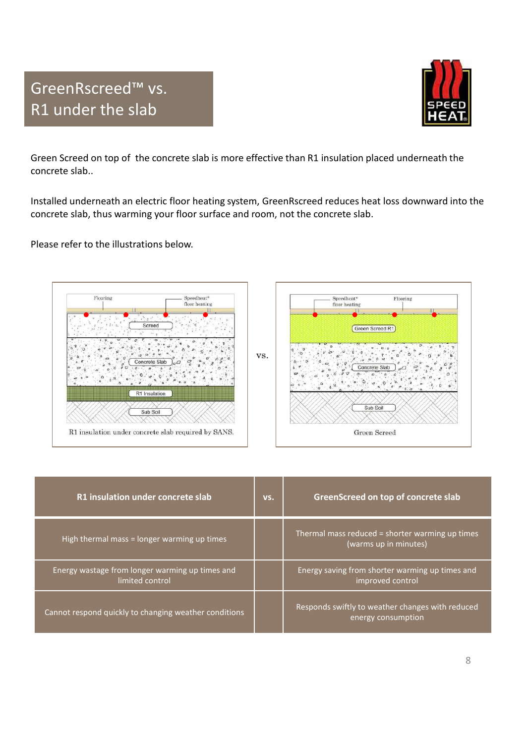



Green Screed on top of the concrete slab is more effective than R1 insulation placed underneath the concrete slab..

Installed underneath an electric floor heating system, GreenRscreed reduces heat loss downward into the concrete slab, thus warming your floor surface and room, not the concrete slab.

Please refer to the illustrations below.



| R1 Insulation<br>Sub Soil<br>R1 insulation under concrete slab required by SANS. |     | $0.6$ . $0.9$ . 0.1.<br>.000<br>Sub Soil<br>Green Screed                 |  |  |  |  |
|----------------------------------------------------------------------------------|-----|--------------------------------------------------------------------------|--|--|--|--|
| R1 insulation under concrete slab                                                | VS. | GreenScreed on top of concrete slab                                      |  |  |  |  |
| High thermal mass = longer warming up times                                      |     | Thermal mass reduced = shorter warming up times<br>(warms up in minutes) |  |  |  |  |
| Energy wastage from longer warming up times and<br>limited control               |     | Energy saving from shorter warming up times and<br>improved control      |  |  |  |  |
| Cannot respond quickly to changing weather conditions                            |     | Responds swiftly to weather changes with reduced<br>energy consumption   |  |  |  |  |
|                                                                                  |     | 8                                                                        |  |  |  |  |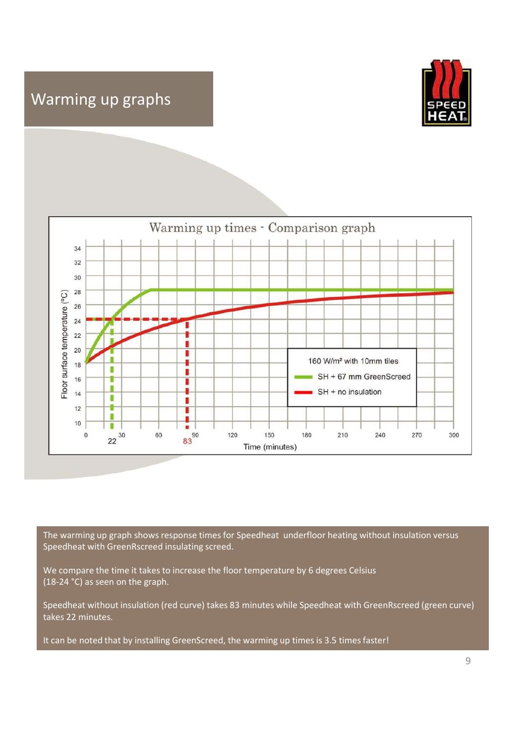## Warming up graphs





The warming up graph shows response times for Speedheat underfloor heating without insulation versus Speedheat with GreenRscreed insulating screed.

We compare the time it takes to increase the floor temperature by 6 degrees Celsius (18-24 °C) as seen on the graph.

Speedheat without insulation (red curve) takes 83 minutes while Speedheat with GreenRscreed (green curve) takes 22 minutes.

It can be noted that by installing GreenScreed, the warming up times is 3.5 times faster!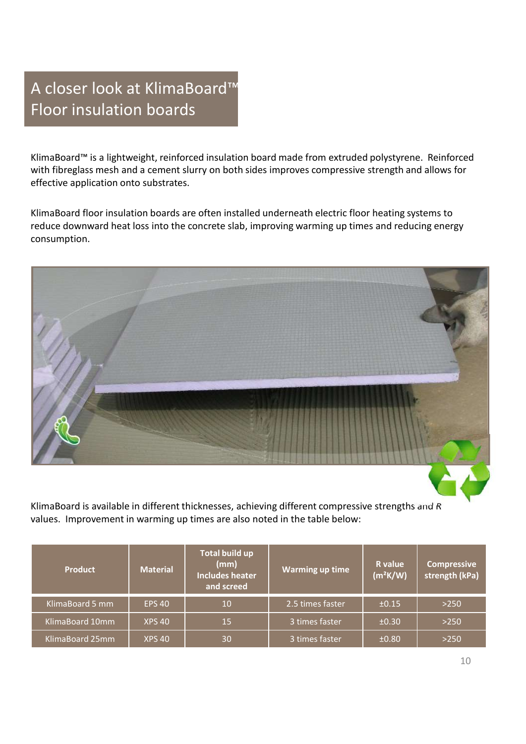## A closer look at KlimaBoard™ Floor insulation boards

A closer look at KlimaBoard™<br>Floor insulation boards<br>KlimaBoard™ is a lightweight, reinforced insulation board made from extruded polystyrene. Reinforced<br>with fibreglass mesh and a cement slurry on both sides improves com A closer look at KlimaBoard<sup>TM</sup><br>Floor insulation boards<br>KlimaBoard<sup>TM</sup> is a lightweight, reinforced insulation board made from extruded polystyrene. Reinforced<br>with fibreglass mesh and a cement slurry on both sides improv effective application onto substrates. A closer look at KlimaBoard<sup>TM</sup><br>Floor insulation boards<br>KlimaBoard<sup>ne</sup> is a lightweight, reinforced insulation board made from extruded polystyrene. Reinforced<br>with fibreglass mesh and a cement slurry on both sides improve

reduce downward heat loss into the concrete slab, improving warming up times and reducing energy consumption.



| KlimaBoard is available in different thicknesses, achieving different compressive strengths and R<br>values. Improvement in warming up times are also noted in the table below: |                 |                                                                       |                        |                       |                               |
|---------------------------------------------------------------------------------------------------------------------------------------------------------------------------------|-----------------|-----------------------------------------------------------------------|------------------------|-----------------------|-------------------------------|
| <b>Product</b>                                                                                                                                                                  | <b>Material</b> | <b>Total build up</b><br>(mm)<br><b>Includes heater</b><br>and screed | <b>Warming up time</b> | R value<br>$(m^2K/W)$ | Compressive<br>strength (kPa) |
| KlimaBoard 5 mm                                                                                                                                                                 | <b>EPS 40</b>   | 10                                                                    | 2.5 times faster       | ±0.15                 | $>250$                        |
| KlimaBoard 10mm                                                                                                                                                                 | <b>XPS 40</b>   | 15                                                                    | 3 times faster         | ±0.30                 | $>250$                        |
| KlimaBoard 25mm                                                                                                                                                                 | <b>XPS 40</b>   | 30                                                                    | 3 times faster         | ±0.80                 | $>250$                        |
|                                                                                                                                                                                 |                 |                                                                       |                        |                       | 10                            |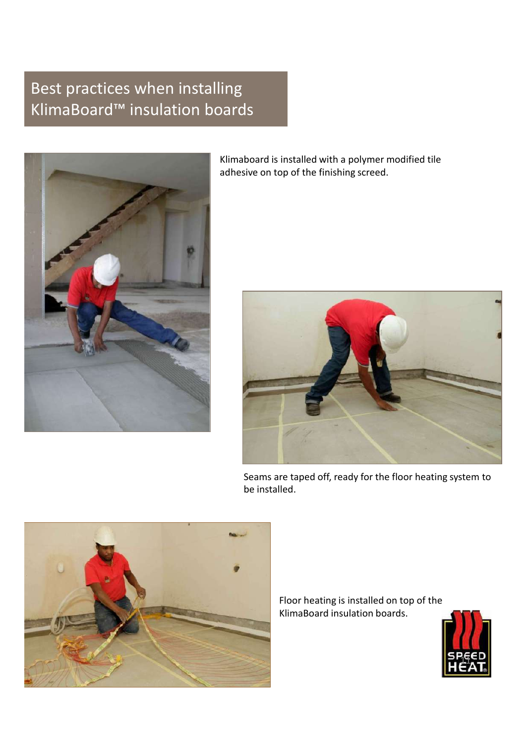# Best practices when installing Best practices when installing<br>KlimaBoard™ insulation boards<br>Klimaboard is installed with a polymer modifier<br>adhesive on top of the finishing screed.



Klimaboard is installed with a polymer modified tile adhesive on top of the finishing screed.



Seams are taped off, ready for the floor heating system to be installed.



Floor heating is installed on top of the KlimaBoard insulation boards.

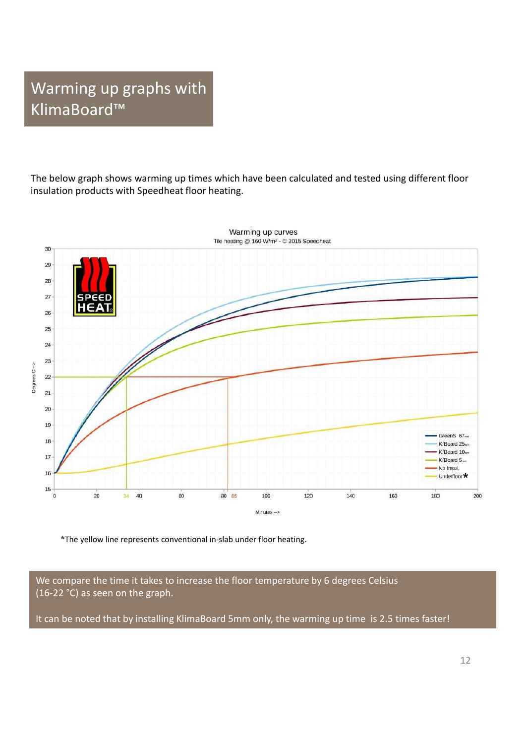## Warming up graphs with KlimaBoard™

The below graph shows warming up times which have been calculated and tested using different floor insulation products with Speedheat floor heating.



\*The yellow line represents conventional in-slab under floor heating.

We compare the time it takes to increase the floor temperature by 6 degrees Celsius (16-22 °C) as seen on the graph.

It can be noted that by installing KlimaBoard 5mm only, the warming up time is 2.5 times faster!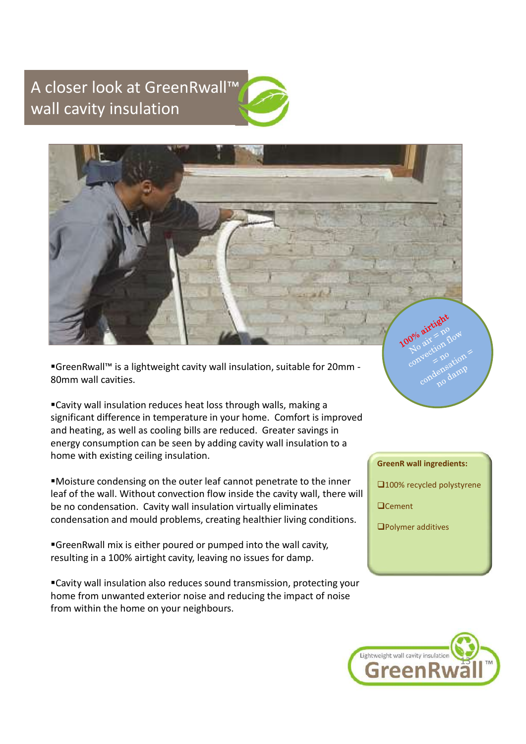## A closer look at GreenRwall™ wall cavity insulation



■GreenRwall™ is a lightweight cavity wall insulation, suitable for 20mm -80mm wall cavities.

Cavity wall insulation reduces heat loss through walls, making a Significant difference in temperature in your home. Comfort is improved the metal comparison wall cautions are expected to the metal comparison of the significant difference in temperature in your home. Comfort is improved For the sixterior conduction of the conduction of the conduction of the conduction of the sixter of the sixter of the sixter of the sixter of the sixter of the sixter of the sixter of the sixter of the sixter of the sixter energy consumption can be seen by adding cavity wall insulation to a home with existing ceiling insulation. ■ GreenRwall™ is a lightweight cavity wall insulation, suitable for 20mm<br>
a0mm wall cavities.<br>
■ Cavity wall insulation reduces heat loss through walls, making a<br>
significant difference in temperature in your home. Comfor Condensation and mould problems, creating healthier living conditions.<br>
Cavity wall insulation reduces heat loss through walls, making a<br>
significant difference in temperature in your home. Comfort is improved<br>
and heating

Moisture condensing on the outer leaf cannot penetrate to the inner leaf of the wall. Without convection flow inside the cavity wall, there will

resulting in a 100% airtight cavity, leaving no issues for damp.

Cavity wall insulation also reduces sound transmission, protecting your home from unwanted exterior noise and reducing the impact of noise from within the home on your neighbours.



□100% recycled polystyrene

**Q**Cement

Polymer additives

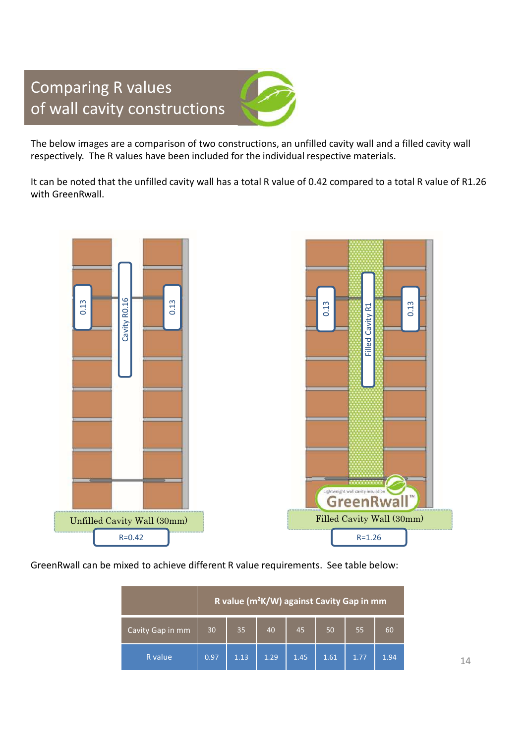## Comparing R values of wall cavity constructions



The below images are a comparison of two constructions, an unfilled cavity wall and a filled cavity wall

Comparing R values<br>of wall cavity constructions<br>The below images are a comparison of two constructions, an unfilled cavity wall and a filled cavity wa<br>respectively. The R values have been included for the individual respec It can be noted that the unfilled cavity wall has a total R value of 0.42 compared to a total R value of R1.26 with GreenRwall.



|                  | R value ( $m^2$ K/W) against Cavity Gap in mm |      |      |      |      |      |      |
|------------------|-----------------------------------------------|------|------|------|------|------|------|
| Cavity Gap in mm | 30                                            | 35   | 40   | 45   | 50   | 55   | 60   |
| R value          | 0.97                                          | 1.13 | 1.29 | 1.45 | 1.61 | 1.77 | 1.94 |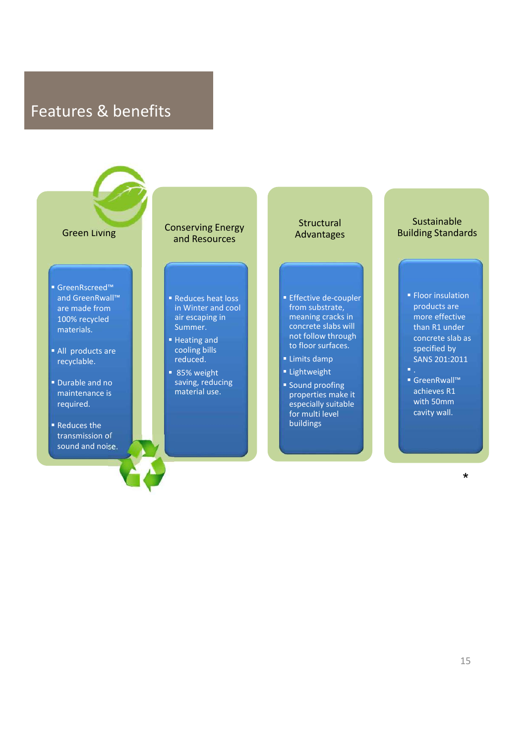## Features & benefits

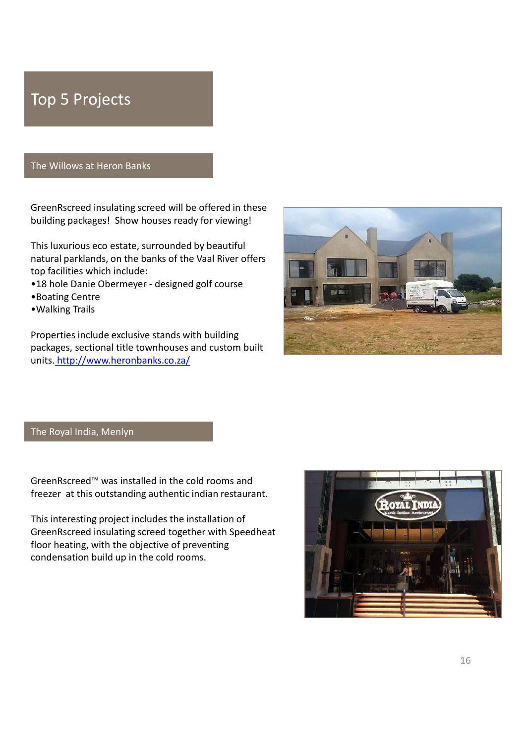## Top 5 Projects

## The Willows at Heron Banks

GreenRscreed insulating screed will be offered in these

This luxurious eco estate, surrounded by beautiful natural parklands, on the banks of the Vaal River offers top facilities which include:

- 
- •Boating Centre
- •Walking Trails

Properties include exclusive stands with building packages, sectional title townhouses and custom built units. http://www.heronbanks.co.za/



The Royal India, Menlyn

This interesting project includes the installation of floor heating, with the objective of preventing condensation build up in the cold rooms.

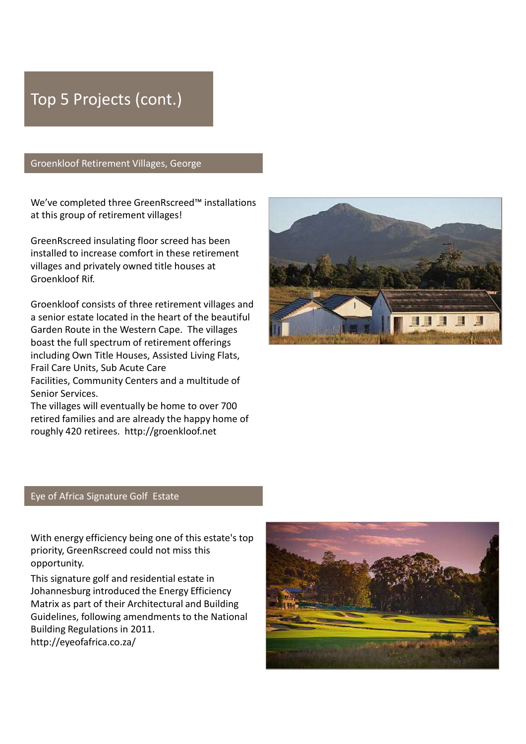## Top 5 Projects (cont.)

## Groenkloof Retirement Villages, George

at this group of retirement villages!

installed to increase comfort in these retirement villages and privately owned title houses at

a senior estate located in the heart of the beautiful boast the full spectrum of retirement offerings including Own Title Houses, Assisted Living Flats, Groenkloof Retirement Villages, George<br>
We've completed three GreenRscreed™ installations<br>
at this group of retirement villages!<br>
GreenRscreed insulating floor screed has been<br>
installed to increase comfort in these retir

Senior Services.

The villages will eventually be home to over 700 retired families and are already the happy home of



## Eye of Africa Signature Golf Estate

priority, GreenRscreed could not miss this opportunity.

This signature golf and residential estate in Matrix as part of their Architectural and Building Guidelines, following amendments to the National Building Regulations in 2011. http://eyeofafrica.co.za/

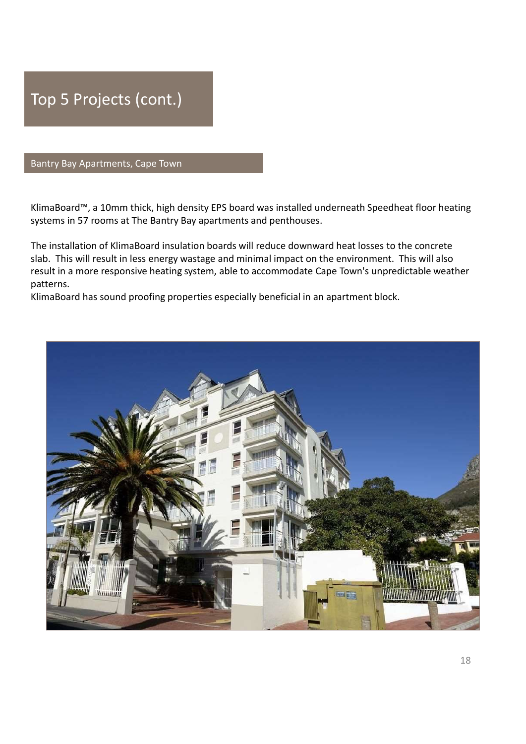

## Bantry Bay Apartments, Cape Town

systems in 57 rooms at The Bantry Bay apartments and penthouses.

Rantry Bay Apartments, Cape Town<br>Bantry Bay Apartments, Cape Town<br>KlimaBoard™, a 10mm thick, high density EPS board was installed underneath Speedheat floor heating<br>systems in 57 rooms at The Bantry Bay apartments and pe Top 5 Projects (cont.)<br>Bantry Bay Apartments, Cape Town<br>KlimaBoard''', a 10mm thick, high density EPS board was installed underneath Speedheat floor heating<br>systems in 57 rooms at The Bantry Bay apartments and penthouses.<br> Top 5 Projects (cont.)<br>Bantry Bay Apartments, Cape Town<br>SlimaBoard™, a 10mm thick, high density EPS board was installed underneath Speedheat floor heating<br>The installation of KlimaBoard insulation boards will reduce downwa result in a more responsive heating system, able to accommodate Cape Town's unpredictable weather patterns. Top 5 Projects (cont.)<br>Bantry Bay Apartments, Cape Town<br>KlimaBoard''", a 10mm thick, high density EPS board was installed underneath Speedheat floor heating<br>systems in 57 rooms at The Bantry Bay apartments and penthouses.<br>

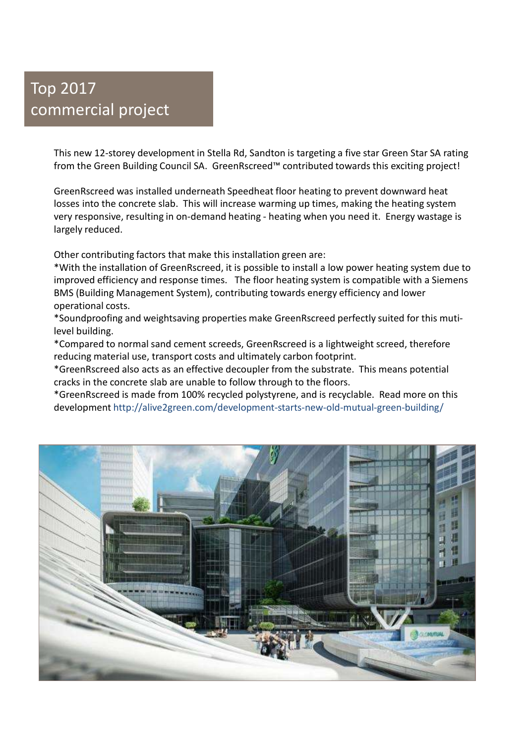## Top 2017 commercial project

1<br>This new 12-storey development in Stella Rd, Sandton is targeting a five star Green Star SA rating<br>from the Green Building Council SA. GreenRscreed™ contributed towards this exciting project!<br>Iosses into the concrete sl **From the Green Building Council SA.** GreenRscreed™ contributed towards this exciting project!<br>From the Green Building Council SA. GreenRscreed™ contributed towards this exciting project!<br>GreenRscreed was installed undern **Community of the Community of the Community of the Community of the Community of the Green Building Council SA.**<br>This new 12-storey development in Stella Rd, Sandton is targeting a five star Green Star SA rating project!<br> **definited**<br> **of the concrete slabe. This new 12-storey development in Stella Rd, Sandton is targeting a five star Green Star SA rating<br>
from the Green Building Council SA. GreenRscreed™ contributed towards this exciting p** very responsive properties and the Stella Rd, Sandton is targeting a five star Green Star SA rating<br>This new 12-storey development in Stella Rd, Sandton is targeting a five star Green Star SA rating<br>from the Green Building largely reduced.

Other contributing factors that make this installation green are:

\*With the installation of GreenRscreed, it is possible to install a low power heating system due to **i**<br>This new 12-storey development in Stella Rd, Sandton is targeting a five star Green Star SA rating<br>from the Green Building Council SA. GreenRscreed™ contributed towards this exciting project!<br>GreenRscreed was installed BMS (Building Management System), contributing towards energy efficiency and lower operational costs. mmercial project<br>
This new 12-storey development in Stella Rd, Sandton is targeting a five star Green Star SA rating<br>
from the Green Building Council SA. GreenRscreed™ contributed towards this exciting project!<br>
GreenRscre This new 12-storey development in Stella Rd, Sandton is targeting a five star Green Star SA rating<br>from the Green Building Council SA. GreenRscreed™ contributed towards this exciting project!<br>GreenRscreed was installed und This new 12-storey development in Stella Rd, Sandton is targeting a five star Green Star SA rating<br>from the Green Building Council SA. GreenRscreed<sup>na</sup> contributed towards this exciting project!<br>GreenRscreed was installed from the Green Building Council SA. GreenRscreed™ contributed towards this exciting project<br>GreenRscreed was installed underneath Speedheat floor heating to prevent downward heat<br>losses into the concrete slab. This will in GreenRscreed was installed underneath Speedheat floor heating to prevent downward heat<br>losses into the concrete slab. This will increase warming up times, making the heating system<br>very responsive, resulting in on-demand h

level building.

reducing material use, transport costs and ultimately carbon footprint.

development http://alive2green.com/development-starts-new-old-mutual-green-building/